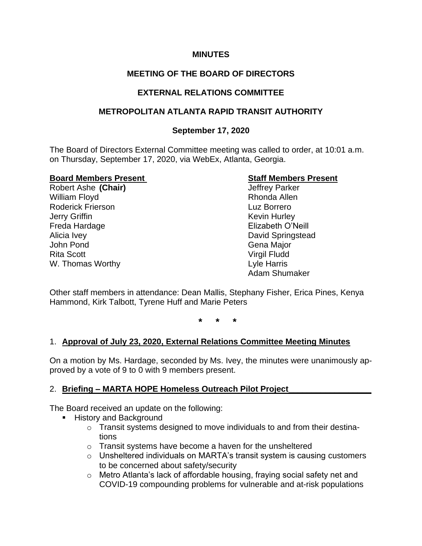### **MINUTES**

# **MEETING OF THE BOARD OF DIRECTORS**

## **EXTERNAL RELATIONS COMMITTEE**

### **METROPOLITAN ATLANTA RAPID TRANSIT AUTHORITY**

### **September 17, 2020**

The Board of Directors External Committee meeting was called to order, at 10:01 a.m. on Thursday, September 17, 2020, via WebEx, Atlanta, Georgia.

### **Board Members Present Staff Members Present**

Robert Ashe **(Chair)** Jeffrey Parker William Floyd **Rhonda Allen** Roderick Frierson Luz Borrero **Jerry Griffin** Kevin Hurley Freda Hardage **Elizabeth O'Neill** Alicia Ivey **David Springstead** John Pond Gena Major Rita Scott **Virgil Fludd** W. Thomas Worthy **Lyle Harris** 

Adam Shumaker

Other staff members in attendance: Dean Mallis, Stephany Fisher, Erica Pines, Kenya Hammond, Kirk Talbott, Tyrene Huff and Marie Peters

**\* \* \***

### 1. **Approval of July 23, 2020, External Relations Committee Meeting Minutes**

On a motion by Ms. Hardage, seconded by Ms. Ivey, the minutes were unanimously approved by a vote of 9 to 0 with 9 members present.

### 2. **Briefing – MARTA HOPE Homeless Outreach Pilot Project\_\_\_\_\_\_\_\_\_\_\_\_\_\_\_\_\_\_**

The Board received an update on the following:

- **E** History and Background
	- o Transit systems designed to move individuals to and from their destinations
	- o Transit systems have become a haven for the unsheltered
	- o Unsheltered individuals on MARTA's transit system is causing customers to be concerned about safety/security
	- o Metro Atlanta's lack of affordable housing, fraying social safety net and COVID-19 compounding problems for vulnerable and at-risk populations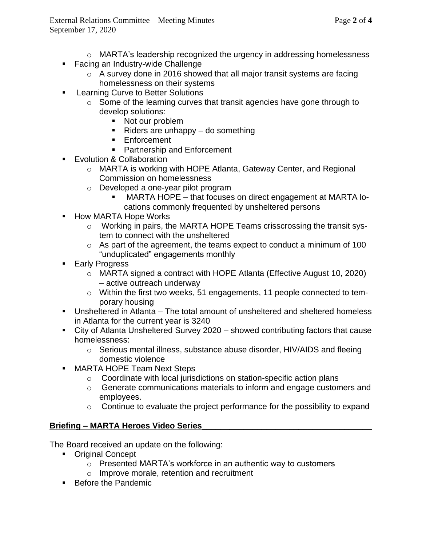- $\circ$  MARTA's leadership recognized the urgency in addressing homelessness
- Facing an Industry-wide Challenge
	- o A survey done in 2016 showed that all major transit systems are facing homelessness on their systems
- **EXEC** Learning Curve to Better Solutions
	- o Some of the learning curves that transit agencies have gone through to develop solutions:
		- Not our problem
		- $\blacksquare$  Riders are unhappy do something
		- Enforcement
		- Partnership and Enforcement
- Evolution & Collaboration
	- o MARTA is working with HOPE Atlanta, Gateway Center, and Regional Commission on homelessness
	- o Developed a one-year pilot program
		- $MARTA HOPE that focuses on direct engagement at MARTA lo$ cations commonly frequented by unsheltered persons
- How MARTA Hope Works
	- o Working in pairs, the MARTA HOPE Teams crisscrossing the transit system to connect with the unsheltered
	- o As part of the agreement, the teams expect to conduct a minimum of 100 "unduplicated" engagements monthly
- Early Progress
	- o MARTA signed a contract with HOPE Atlanta (Effective August 10, 2020) – active outreach underway
	- o Within the first two weeks, 51 engagements, 11 people connected to temporary housing
- Unsheltered in Atlanta The total amount of unsheltered and sheltered homeless in Atlanta for the current year is 3240
- City of Atlanta Unsheltered Survey 2020 showed contributing factors that cause homelessness:
	- o Serious mental illness, substance abuse disorder, HIV/AIDS and fleeing domestic violence
- MARTA HOPE Team Next Steps
	- o Coordinate with local jurisdictions on station-specific action plans
	- o Generate communications materials to inform and engage customers and employees.
	- $\circ$  Continue to evaluate the project performance for the possibility to expand

# **Briefing – MARTA Heroes Video Series\_\_\_\_\_\_\_\_\_\_\_\_\_\_\_\_\_\_\_\_\_\_\_\_\_\_\_\_\_\_\_\_\_\_\_\_\_**

The Board received an update on the following:

- Original Concept
	- o Presented MARTA's workforce in an authentic way to customers
	- o Improve morale, retention and recruitment
- Before the Pandemic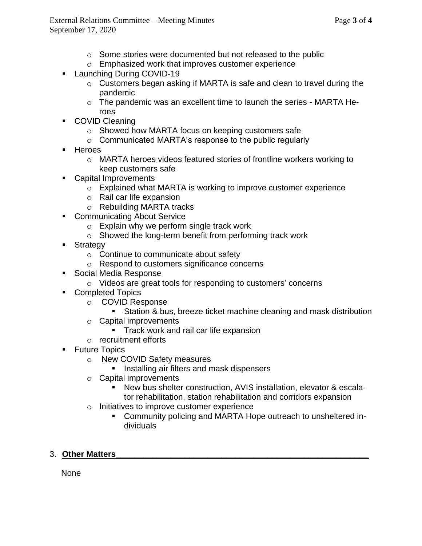- o Some stories were documented but not released to the public
- o Emphasized work that improves customer experience
- Launching During COVID-19
	- o Customers began asking if MARTA is safe and clean to travel during the pandemic
	- o The pandemic was an excellent time to launch the series MARTA Heroes
- COVID Cleaning
	- o Showed how MARTA focus on keeping customers safe
	- o Communicated MARTA's response to the public regularly
- Heroes
	- o MARTA heroes videos featured stories of frontline workers working to keep customers safe
- Capital Improvements
	- o Explained what MARTA is working to improve customer experience
	- o Rail car life expansion
	- o Rebuilding MARTA tracks
- Communicating About Service
	- o Explain why we perform single track work
	- o Showed the long-term benefit from performing track work
- Strategy
	- o Continue to communicate about safety
	- o Respond to customers significance concerns
- Social Media Response
	- o Videos are great tools for responding to customers' concerns
- Completed Topics
	- o COVID Response
		- Station & bus, breeze ticket machine cleaning and mask distribution
	- o Capital improvements
		- **EXEC** Track work and rail car life expansion
	- o recruitment efforts
- Future Topics
	- o New COVID Safety measures
		- Installing air filters and mask dispensers
	- o Capital improvements
		- New bus shelter construction, AVIS installation, elevator & escalator rehabilitation, station rehabilitation and corridors expansion
	- o Initiatives to improve customer experience
		- Community policing and MARTA Hope outreach to unsheltered individuals

# 3. **Other Matters\_\_\_\_\_\_\_\_\_\_\_\_\_\_\_\_\_\_\_\_\_\_\_\_\_\_\_\_\_\_\_\_\_\_\_\_\_\_\_\_\_\_\_\_\_\_\_\_\_\_\_\_\_\_\_**

None